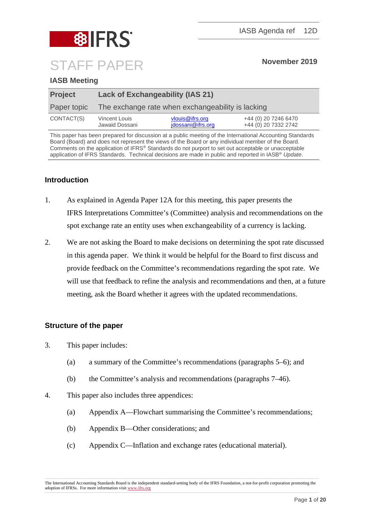

# **IASB Meeting**

| <b>Project</b> | <b>Lack of Exchangeability (IAS 21)</b>           |                                      |                                              |
|----------------|---------------------------------------------------|--------------------------------------|----------------------------------------------|
| Paper topic    | The exchange rate when exchangeability is lacking |                                      |                                              |
| CONTACT(S)     | Vincent Louis<br>Jawaid Dossani                   | vlouis@ifrs.org<br>jdossani@ifrs.org | +44 (0) 20 7246 6470<br>+44 (0) 20 7332 2742 |

This paper has been prepared for discussion at a public meeting of the International Accounting Standards Board (Board) and does not represent the views of the Board or any individual member of the Board. Comments on the application of IFRS® Standards do not purport to set out acceptable or unacceptable application of IFRS Standards. Technical decisions are made in public and reported in IASB® *Update*.

# **Introduction**

- 1. As explained in Agenda Paper 12A for this meeting, this paper presents the IFRS Interpretations Committee's (Committee) analysis and recommendations on the spot exchange rate an entity uses when exchangeability of a currency is lacking.
- 2. We are not asking the Board to make decisions on determining the spot rate discussed in this agenda paper. We think it would be helpful for the Board to first discuss and provide feedback on the Committee's recommendations regarding the spot rate. We will use that feedback to refine the analysis and recommendations and then, at a future meeting, ask the Board whether it agrees with the updated recommendations.

# **Structure of the paper**

- 3. This paper includes:
	- (a) a summary of the Committee's recommendations (paragraphs [5–](#page-1-0)[6\)](#page-1-1); and
	- (b) the Committee's analysis and recommendations (paragraphs [7–](#page-2-0)[46\)](#page-12-0).
- 4. This paper also includes three appendices:
	- (a) Appendix A––Flowchart summarising the Committee's recommendations;
	- (b) Appendix B––Other considerations; and
	- (c) Appendix C—Inflation and exchange rates (educational material).

The International Accounting Standards Board is the independent standard-setting body of the IFRS Foundation, a not-for-profit corporation promoting the adoption of IFRSs. For more information visi[t www.ifrs.org](http://www.ifrs.org/)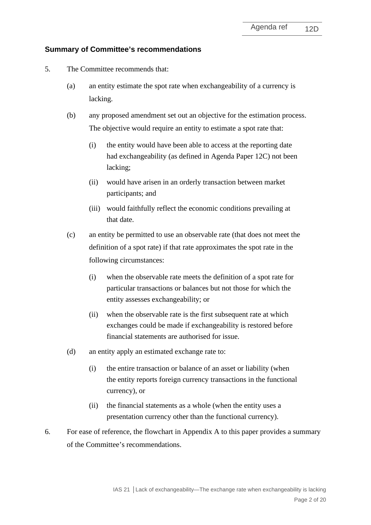## **Summary of Committee's recommendations**

- <span id="page-1-0"></span>5. The Committee recommends that:
	- (a) an entity estimate the spot rate when exchangeability of a currency is lacking.
	- (b) any proposed amendment set out an objective for the estimation process. The objective would require an entity to estimate a spot rate that:
		- (i) the entity would have been able to access at the reporting date had exchangeability (as defined in Agenda Paper 12C) not been lacking;
		- (ii) would have arisen in an orderly transaction between market participants; and
		- (iii) would faithfully reflect the economic conditions prevailing at that date.
	- (c) an entity be permitted to use an observable rate (that does not meet the definition of a spot rate) if that rate approximates the spot rate in the following circumstances:
		- (i) when the observable rate meets the definition of a spot rate for particular transactions or balances but not those for which the entity assesses exchangeability; or
		- (ii) when the observable rate is the first subsequent rate at which exchanges could be made if exchangeability is restored before financial statements are authorised for issue.
	- (d) an entity apply an estimated exchange rate to:
		- (i) the entire transaction or balance of an asset or liability (when the entity reports foreign currency transactions in the functional currency), or
		- (ii) the financial statements as a whole (when the entity uses a presentation currency other than the functional currency).
- <span id="page-1-1"></span>6. For ease of reference, the flowchart in Appendix A to this paper provides a summary of the Committee's recommendations.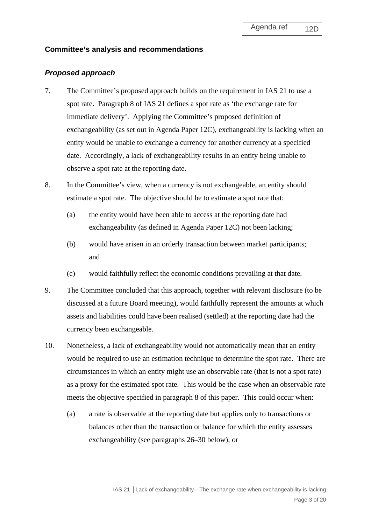### **Committee's analysis and recommendations**

#### *Proposed approach*

- <span id="page-2-0"></span>7. The Committee's proposed approach builds on the requirement in IAS 21 to use a spot rate. Paragraph 8 of IAS 21 defines a spot rate as 'the exchange rate for immediate delivery'. Applying the Committee's proposed definition of exchangeability (as set out in Agenda Paper 12C), exchangeability is lacking when an entity would be unable to exchange a currency for another currency at a specified date. Accordingly, a lack of exchangeability results in an entity being unable to observe a spot rate at the reporting date.
- <span id="page-2-1"></span>8. In the Committee's view, when a currency is not exchangeable, an entity should estimate a spot rate. The objective should be to estimate a spot rate that:
	- (a) the entity would have been able to access at the reporting date had exchangeability (as defined in Agenda Paper 12C) not been lacking;
	- (b) would have arisen in an orderly transaction between market participants; and
	- (c) would faithfully reflect the economic conditions prevailing at that date.
- 9. The Committee concluded that this approach, together with relevant disclosure (to be discussed at a future Board meeting), would faithfully represent the amounts at which assets and liabilities could have been realised (settled) at the reporting date had the currency been exchangeable.
- 10. Nonetheless, a lack of exchangeability would not automatically mean that an entity would be required to use an estimation technique to determine the spot rate. There are circumstances in which an entity might use an observable rate (that is not a spot rate) as a proxy for the estimated spot rate. This would be the case when an observable rate meets the objective specified in paragraph [8](#page-2-1) of this paper. This could occur when:
	- (a) a rate is observable at the reporting date but applies only to transactions or balances other than the transaction or balance for which the entity assesses exchangeability (see paragraphs [26–](#page-6-0)[30](#page-8-0) below); or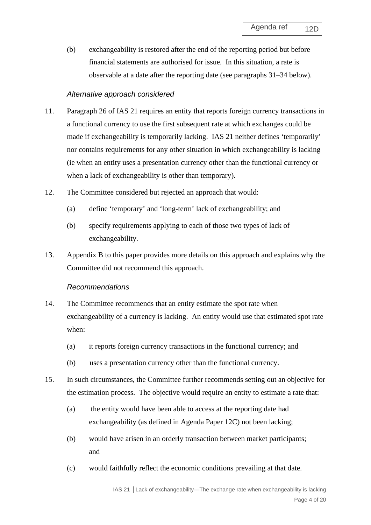(b) exchangeability is restored after the end of the reporting period but before financial statements are authorised for issue. In this situation, a rate is observable at a date after the reporting date (see paragraphs [31–](#page-8-1)[34](#page-9-0) below).

## *Alternative approach considered*

- <span id="page-3-0"></span>11. Paragraph 26 of IAS 21 requires an entity that reports foreign currency transactions in a functional currency to use the first subsequent rate at which exchanges could be made if exchangeability is temporarily lacking. IAS 21 neither defines 'temporarily' nor contains requirements for any other situation in which exchangeability is lacking (ie when an entity uses a presentation currency other than the functional currency or when a lack of exchangeability is other than temporary).
- 12. The Committee considered but rejected an approach that would:
	- (a) define 'temporary' and 'long-term' lack of exchangeability; and
	- (b) specify requirements applying to each of those two types of lack of exchangeability.
- <span id="page-3-1"></span>13. Appendix B to this paper provides more details on this approach and explains why the Committee did not recommend this approach.

#### *Recommendations*

- 14. The Committee recommends that an entity estimate the spot rate when exchangeability of a currency is lacking. An entity would use that estimated spot rate when:
	- (a) it reports foreign currency transactions in the functional currency; and
	- (b) uses a presentation currency other than the functional currency.
- 15. In such circumstances, the Committee further recommends setting out an objective for the estimation process. The objective would require an entity to estimate a rate that:
	- (a) the entity would have been able to access at the reporting date had exchangeability (as defined in Agenda Paper 12C) not been lacking;
	- (b) would have arisen in an orderly transaction between market participants; and
	- (c) would faithfully reflect the economic conditions prevailing at that date.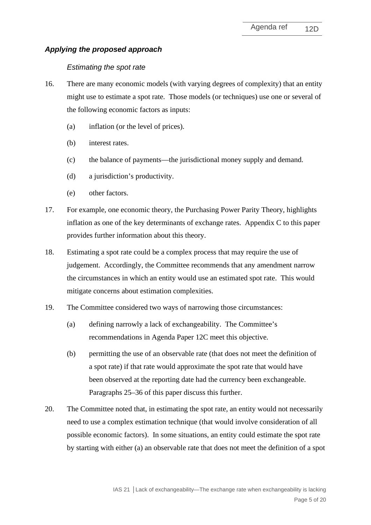# *Applying the proposed approach*

## *Estimating the spot rate*

- 16. There are many economic models (with varying degrees of complexity) that an entity might use to estimate a spot rate. Those models (or techniques) use one or several of the following economic factors as inputs:
	- (a) inflation (or the level of prices).
	- (b) interest rates.
	- (c) the balance of payments—the jurisdictional money supply and demand.
	- (d) a jurisdiction's productivity.
	- (e) other factors.
- 17. For example, one economic theory, the Purchasing Power Parity Theory, highlights inflation as one of the key determinants of exchange rates. Appendix C to this paper provides further information about this theory.
- 18. Estimating a spot rate could be a complex process that may require the use of judgement. Accordingly, the Committee recommends that any amendment narrow the circumstances in which an entity would use an estimated spot rate. This would mitigate concerns about estimation complexities.
- 19. The Committee considered two ways of narrowing those circumstances:
	- (a) defining narrowly a lack of exchangeability. The Committee's recommendations in Agenda Paper 12C meet this objective.
	- (b) permitting the use of an observable rate (that does not meet the definition of a spot rate) if that rate would approximate the spot rate that would have been observed at the reporting date had the currency been exchangeable. Paragraphs [25](#page-6-1)[–36](#page-9-1) of this paper discuss this further.
- 20. The Committee noted that, in estimating the spot rate, an entity would not necessarily need to use a complex estimation technique (that would involve consideration of all possible economic factors). In some situations, an entity could estimate the spot rate by starting with either (a) an observable rate that does not meet the definition of a spot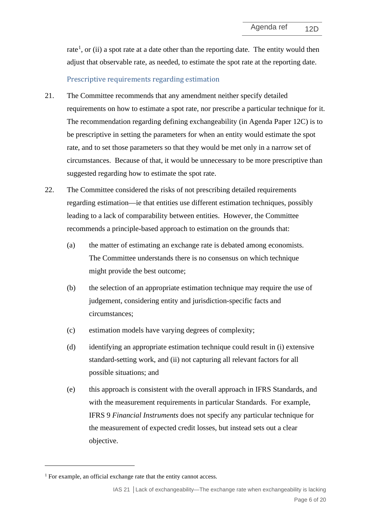rate<sup>[1](#page-5-0)</sup>, or (ii) a spot rate at a date other than the reporting date. The entity would then adjust that observable rate, as needed, to estimate the spot rate at the reporting date.

## Prescriptive requirements regarding estimation

- 21. The Committee recommends that any amendment neither specify detailed requirements on how to estimate a spot rate, nor prescribe a particular technique for it. The recommendation regarding defining exchangeability (in Agenda Paper 12C) is to be prescriptive in setting the parameters for when an entity would estimate the spot rate, and to set those parameters so that they would be met only in a narrow set of circumstances. Because of that, it would be unnecessary to be more prescriptive than suggested regarding how to estimate the spot rate.
- 22. The Committee considered the risks of not prescribing detailed requirements regarding estimation—ie that entities use different estimation techniques, possibly leading to a lack of comparability between entities. However, the Committee recommends a principle-based approach to estimation on the grounds that:
	- (a) the matter of estimating an exchange rate is debated among economists. The Committee understands there is no consensus on which technique might provide the best outcome;
	- (b) the selection of an appropriate estimation technique may require the use of judgement, considering entity and jurisdiction-specific facts and circumstances;
	- (c) estimation models have varying degrees of complexity;
	- (d) identifying an appropriate estimation technique could result in (i) extensive standard-setting work, and (ii) not capturing all relevant factors for all possible situations; and
	- (e) this approach is consistent with the overall approach in IFRS Standards, and with the measurement requirements in particular Standards. For example, IFRS 9 *Financial Instruments* does not specify any particular technique for the measurement of expected credit losses, but instead sets out a clear objective.

<span id="page-5-0"></span><sup>&</sup>lt;sup>1</sup> For example, an official exchange rate that the entity cannot access.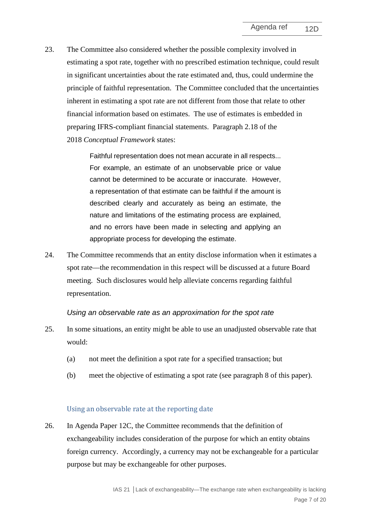23. The Committee also considered whether the possible complexity involved in estimating a spot rate, together with no prescribed estimation technique, could result in significant uncertainties about the rate estimated and, thus, could undermine the principle of faithful representation. The Committee concluded that the uncertainties inherent in estimating a spot rate are not different from those that relate to other financial information based on estimates. The use of estimates is embedded in preparing IFRS-compliant financial statements. Paragraph 2.18 of the 2018 *Conceptual Framework* states:

> Faithful representation does not mean accurate in all respects... For example, an estimate of an unobservable price or value cannot be determined to be accurate or inaccurate. However, a representation of that estimate can be faithful if the amount is described clearly and accurately as being an estimate, the nature and limitations of the estimating process are explained, and no errors have been made in selecting and applying an appropriate process for developing the estimate.

24. The Committee recommends that an entity disclose information when it estimates a spot rate––the recommendation in this respect will be discussed at a future Board meeting. Such disclosures would help alleviate concerns regarding faithful representation.

#### *Using an observable rate as an approximation for the spot rate*

- <span id="page-6-1"></span>25. In some situations, an entity might be able to use an unadjusted observable rate that would:
	- (a) not meet the definition a spot rate for a specified transaction; but
	- (b) meet the objective of estimating a spot rate (see paragraph [8](#page-2-1) of this paper).

#### Using an observable rate at the reporting date

<span id="page-6-0"></span>26. In Agenda Paper 12C, the Committee recommends that the definition of exchangeability includes consideration of the purpose for which an entity obtains foreign currency. Accordingly, a currency may not be exchangeable for a particular purpose but may be exchangeable for other purposes.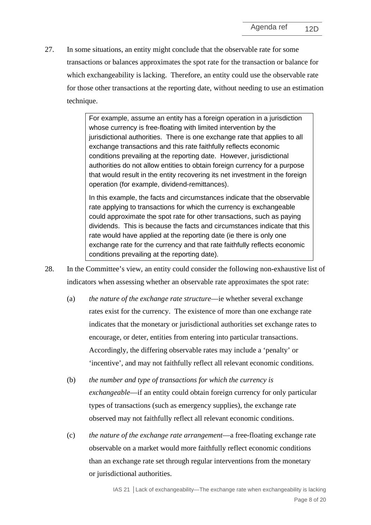27. In some situations, an entity might conclude that the observable rate for some transactions or balances approximates the spot rate for the transaction or balance for which exchangeability is lacking. Therefore, an entity could use the observable rate for those other transactions at the reporting date, without needing to use an estimation technique.

> For example, assume an entity has a foreign operation in a jurisdiction whose currency is free-floating with limited intervention by the jurisdictional authorities. There is one exchange rate that applies to all exchange transactions and this rate faithfully reflects economic conditions prevailing at the reporting date. However, jurisdictional authorities do not allow entities to obtain foreign currency for a purpose that would result in the entity recovering its net investment in the foreign operation (for example, dividend-remittances).

In this example, the facts and circumstances indicate that the observable rate applying to transactions for which the currency is exchangeable could approximate the spot rate for other transactions, such as paying dividends. This is because the facts and circumstances indicate that this rate would have applied at the reporting date (ie there is only one exchange rate for the currency and that rate faithfully reflects economic conditions prevailing at the reporting date).

- <span id="page-7-0"></span>28. In the Committee's view, an entity could consider the following non-exhaustive list of indicators when assessing whether an observable rate approximates the spot rate:
	- (a) *the nature of the exchange rate structure*––ie whether several exchange rates exist for the currency. The existence of more than one exchange rate indicates that the monetary or jurisdictional authorities set exchange rates to encourage, or deter, entities from entering into particular transactions. Accordingly, the differing observable rates may include a 'penalty' or 'incentive', and may not faithfully reflect all relevant economic conditions.
	- (b) *the number and type of transactions for which the currency is exchangeable*—if an entity could obtain foreign currency for only particular types of transactions (such as emergency supplies), the exchange rate observed may not faithfully reflect all relevant economic conditions.
	- (c) *the nature of the exchange rate arrangement*—a free-floating exchange rate observable on a market would more faithfully reflect economic conditions than an exchange rate set through regular interventions from the monetary or jurisdictional authorities.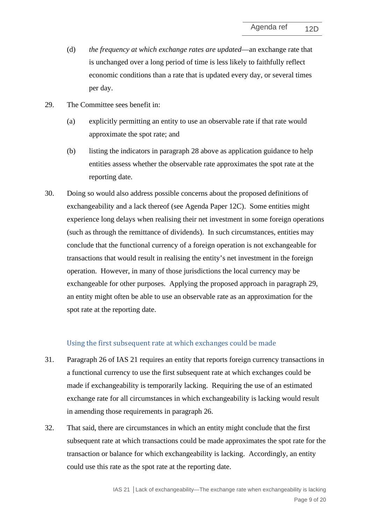- (d) *the frequency at which exchange rates are updated*—an exchange rate that is unchanged over a long period of time is less likely to faithfully reflect economic conditions than a rate that is updated every day, or several times per day.
- <span id="page-8-2"></span>29. The Committee sees benefit in:
	- (a) explicitly permitting an entity to use an observable rate if that rate would approximate the spot rate; and
	- (b) listing the indicators in paragraph [28](#page-7-0) above as application guidance to help entities assess whether the observable rate approximates the spot rate at the reporting date.
- <span id="page-8-0"></span>30. Doing so would also address possible concerns about the proposed definitions of exchangeability and a lack thereof (see Agenda Paper 12C). Some entities might experience long delays when realising their net investment in some foreign operations (such as through the remittance of dividends). In such circumstances, entities may conclude that the functional currency of a foreign operation is not exchangeable for transactions that would result in realising the entity's net investment in the foreign operation. However, in many of those jurisdictions the local currency may be exchangeable for other purposes. Applying the proposed approach in paragraph [29,](#page-8-2) an entity might often be able to use an observable rate as an approximation for the spot rate at the reporting date.

#### Using the first subsequent rate at which exchanges could be made

- <span id="page-8-1"></span>31. Paragraph 26 of IAS 21 requires an entity that reports foreign currency transactions in a functional currency to use the first subsequent rate at which exchanges could be made if exchangeability is temporarily lacking. Requiring the use of an estimated exchange rate for all circumstances in which exchangeability is lacking would result in amending those requirements in paragraph 26.
- 32. That said, there are circumstances in which an entity might conclude that the first subsequent rate at which transactions could be made approximates the spot rate for the transaction or balance for which exchangeability is lacking. Accordingly, an entity could use this rate as the spot rate at the reporting date.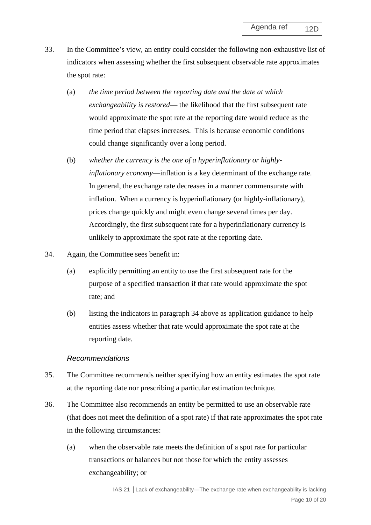- <span id="page-9-2"></span>33. In the Committee's view, an entity could consider the following non-exhaustive list of indicators when assessing whether the first subsequent observable rate approximates the spot rate:
	- (a) *the time period between the reporting date and the date at which exchangeability is restored*— the likelihood that the first subsequent rate would approximate the spot rate at the reporting date would reduce as the time period that elapses increases. This is because economic conditions could change significantly over a long period.
	- (b) *whether the currency is the one of a hyperinflationary or highlyinflationary economy*—inflation is a key determinant of the exchange rate. In general, the exchange rate decreases in a manner commensurate with inflation. When a currency is hyperinflationary (or highly-inflationary), prices change quickly and might even change several times per day. Accordingly, the first subsequent rate for a hyperinflationary currency is unlikely to approximate the spot rate at the reporting date.
- <span id="page-9-0"></span>34. Again, the Committee sees benefit in:
	- (a) explicitly permitting an entity to use the first subsequent rate for the purpose of a specified transaction if that rate would approximate the spot rate; and
	- (b) listing the indicators in paragraph [34](#page-9-2) above as application guidance to help entities assess whether that rate would approximate the spot rate at the reporting date.

#### *Recommendations*

- 35. The Committee recommends neither specifying how an entity estimates the spot rate at the reporting date nor prescribing a particular estimation technique.
- <span id="page-9-1"></span>36. The Committee also recommends an entity be permitted to use an observable rate (that does not meet the definition of a spot rate) if that rate approximates the spot rate in the following circumstances:
	- (a) when the observable rate meets the definition of a spot rate for particular transactions or balances but not those for which the entity assesses exchangeability; or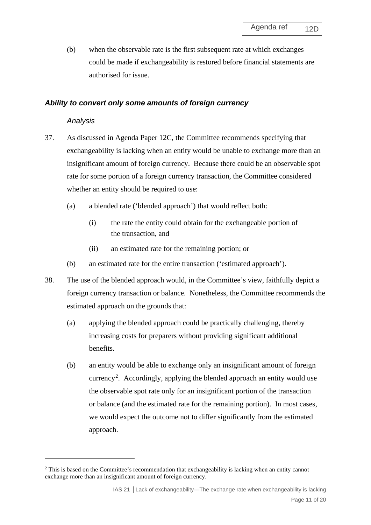(b) when the observable rate is the first subsequent rate at which exchanges could be made if exchangeability is restored before financial statements are authorised for issue.

### *Ability to convert only some amounts of foreign currency*

### *Analysis*

- 37. As discussed in Agenda Paper 12C, the Committee recommends specifying that exchangeability is lacking when an entity would be unable to exchange more than an insignificant amount of foreign currency. Because there could be an observable spot rate for some portion of a foreign currency transaction, the Committee considered whether an entity should be required to use:
	- (a) a blended rate ('blended approach') that would reflect both:
		- (i) the rate the entity could obtain for the exchangeable portion of the transaction, and
		- (ii) an estimated rate for the remaining portion; or
	- (b) an estimated rate for the entire transaction ('estimated approach').
- 38. The use of the blended approach would, in the Committee's view, faithfully depict a foreign currency transaction or balance. Nonetheless, the Committee recommends the estimated approach on the grounds that:
	- (a) applying the blended approach could be practically challenging, thereby increasing costs for preparers without providing significant additional benefits.
	- (b) an entity would be able to exchange only an insignificant amount of foreign currency<sup>[2](#page-10-0)</sup>. Accordingly, applying the blended approach an entity would use the observable spot rate only for an insignificant portion of the transaction or balance (and the estimated rate for the remaining portion). In most cases, we would expect the outcome not to differ significantly from the estimated approach.

<span id="page-10-0"></span><sup>2</sup> This is based on the Committee's recommendation that exchangeability is lacking when an entity cannot exchange more than an insignificant amount of foreign currency.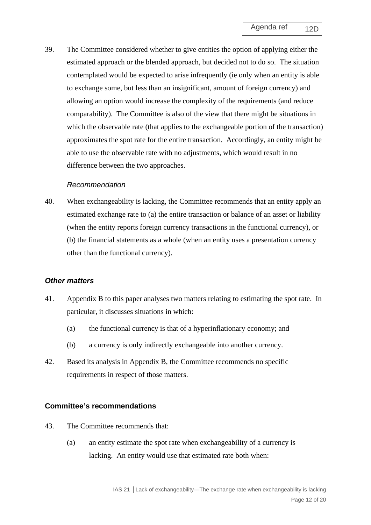39. The Committee considered whether to give entities the option of applying either the estimated approach or the blended approach, but decided not to do so. The situation contemplated would be expected to arise infrequently (ie only when an entity is able to exchange some, but less than an insignificant, amount of foreign currency) and allowing an option would increase the complexity of the requirements (and reduce comparability). The Committee is also of the view that there might be situations in which the observable rate (that applies to the exchangeable portion of the transaction) approximates the spot rate for the entire transaction. Accordingly, an entity might be able to use the observable rate with no adjustments, which would result in no difference between the two approaches.

#### *Recommendation*

40. When exchangeability is lacking, the Committee recommends that an entity apply an estimated exchange rate to (a) the entire transaction or balance of an asset or liability (when the entity reports foreign currency transactions in the functional currency), or (b) the financial statements as a whole (when an entity uses a presentation currency other than the functional currency).

#### *Other matters*

- 41. Appendix B to this paper analyses two matters relating to estimating the spot rate. In particular, it discusses situations in which:
	- (a) the functional currency is that of a hyperinflationary economy; and
	- (b) a currency is only indirectly exchangeable into another currency.
- 42. Based its analysis in Appendix B, the Committee recommends no specific requirements in respect of those matters.

#### **Committee's recommendations**

- 43. The Committee recommends that:
	- (a) an entity estimate the spot rate when exchangeability of a currency is lacking. An entity would use that estimated rate both when: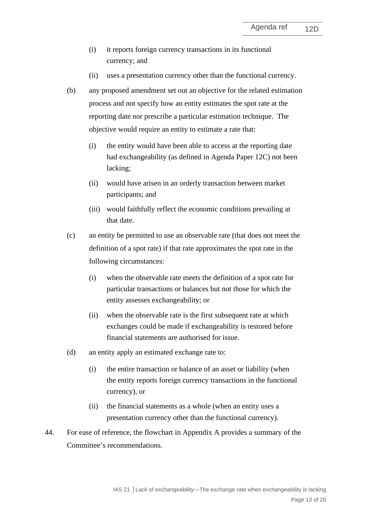- (i) it reports foreign currency transactions in its functional currency; and
- (ii) uses a presentation currency other than the functional currency.
- (b) any proposed amendment set out an objective for the related estimation process and not specify how an entity estimates the spot rate at the reporting date nor prescribe a particular estimation technique. The objective would require an entity to estimate a rate that:
	- (i) the entity would have been able to access at the reporting date had exchangeability (as defined in Agenda Paper 12C) not been lacking;
	- (ii) would have arisen in an orderly transaction between market participants; and
	- (iii) would faithfully reflect the economic conditions prevailing at that date.
- (c) an entity be permitted to use an observable rate (that does not meet the definition of a spot rate) if that rate approximates the spot rate in the following circumstances:
	- (i) when the observable rate meets the definition of a spot rate for particular transactions or balances but not those for which the entity assesses exchangeability; or
	- (ii) when the observable rate is the first subsequent rate at which exchanges could be made if exchangeability is restored before financial statements are authorised for issue.
- (d) an entity apply an estimated exchange rate to:
	- (i) the entire transaction or balance of an asset or liability (when the entity reports foreign currency transactions in the functional currency), or
	- (ii) the financial statements as a whole (when an entity uses a presentation currency other than the functional currency).
- <span id="page-12-0"></span>44. For ease of reference, the flowchart in Appendix A provides a summary of the Committee's recommendations.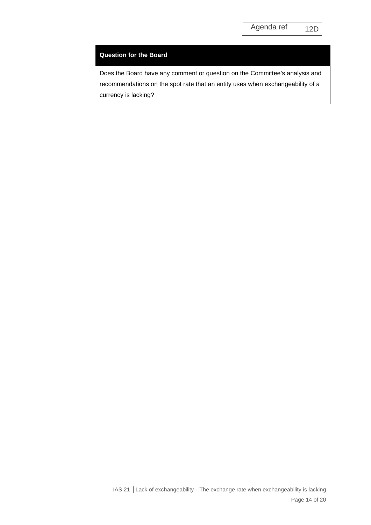#### **Question for the Board**

Does the Board have any comment or question on the Committee's analysis and recommendations on the spot rate that an entity uses when exchangeability of a currency is lacking?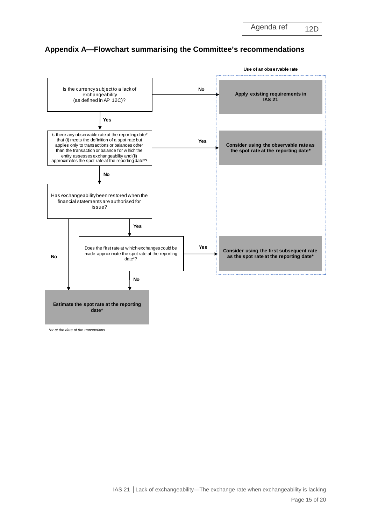Agenda ref 12D



# **Appendix A—Flowchart summarising the Committee's recommendations**

*\*or at the date of the transactions*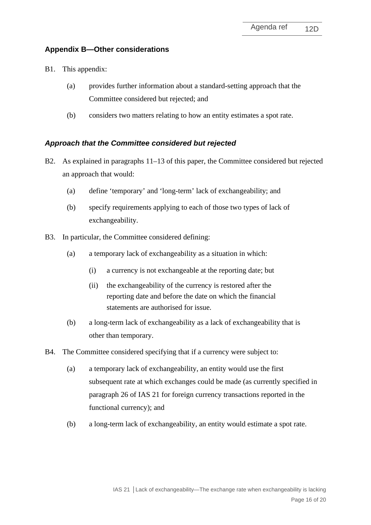# **Appendix B—Other considerations**

- B1. This appendix:
	- (a) provides further information about a standard-setting approach that the Committee considered but rejected; and
	- (b) considers two matters relating to how an entity estimates a spot rate.

## *Approach that the Committee considered but rejected*

- B2. As explained in paragraphs [11–](#page-3-0)[13](#page-3-1) of this paper, the Committee considered but rejected an approach that would:
	- (a) define 'temporary' and 'long-term' lack of exchangeability; and
	- (b) specify requirements applying to each of those two types of lack of exchangeability.
- B3. In particular, the Committee considered defining:
	- (a) a temporary lack of exchangeability as a situation in which:
		- (i) a currency is not exchangeable at the reporting date; but
		- (ii) the exchangeability of the currency is restored after the reporting date and before the date on which the financial statements are authorised for issue.
	- (b) a long-term lack of exchangeability as a lack of exchangeability that is other than temporary.
- B4. The Committee considered specifying that if a currency were subject to:
	- (a) a temporary lack of exchangeability, an entity would use the first subsequent rate at which exchanges could be made (as currently specified in paragraph 26 of IAS 21 for foreign currency transactions reported in the functional currency); and
	- (b) a long-term lack of exchangeability, an entity would estimate a spot rate.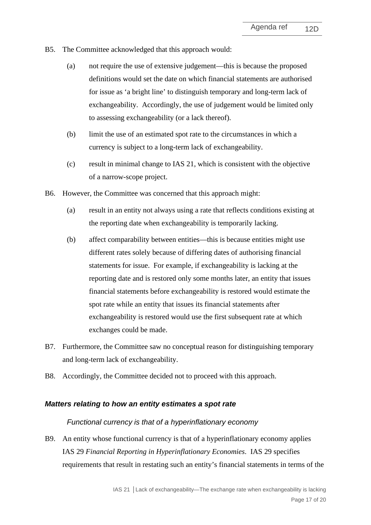- B5. The Committee acknowledged that this approach would:
	- (a) not require the use of extensive judgement––this is because the proposed definitions would set the date on which financial statements are authorised for issue as 'a bright line' to distinguish temporary and long-term lack of exchangeability. Accordingly, the use of judgement would be limited only to assessing exchangeability (or a lack thereof).
	- (b) limit the use of an estimated spot rate to the circumstances in which a currency is subject to a long-term lack of exchangeability.
	- (c) result in minimal change to IAS 21, which is consistent with the objective of a narrow-scope project.
- B6. However, the Committee was concerned that this approach might:
	- (a) result in an entity not always using a rate that reflects conditions existing at the reporting date when exchangeability is temporarily lacking.
	- (b) affect comparability between entities—this is because entities might use different rates solely because of differing dates of authorising financial statements for issue. For example, if exchangeability is lacking at the reporting date and is restored only some months later, an entity that issues financial statements before exchangeability is restored would estimate the spot rate while an entity that issues its financial statements after exchangeability is restored would use the first subsequent rate at which exchanges could be made.
- B7. Furthermore, the Committee saw no conceptual reason for distinguishing temporary and long-term lack of exchangeability.
- B8. Accordingly, the Committee decided not to proceed with this approach.

#### *Matters relating to how an entity estimates a spot rate*

#### *Functional currency is that of a hyperinflationary economy*

B9. An entity whose functional currency is that of a hyperinflationary economy applies IAS 29 *Financial Reporting in Hyperinflationary Economies*. IAS 29 specifies requirements that result in restating such an entity's financial statements in terms of the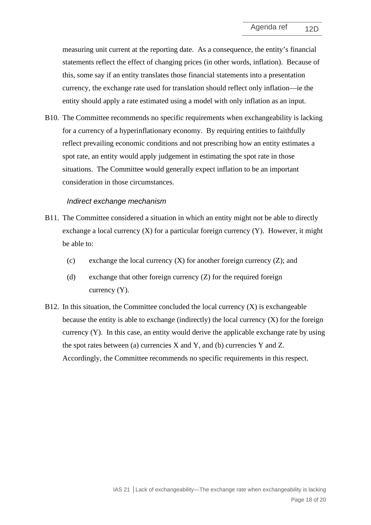measuring unit current at the reporting date. As a consequence, the entity's financial statements reflect the effect of changing prices (in other words, inflation). Because of this, some say if an entity translates those financial statements into a presentation currency, the exchange rate used for translation should reflect only inflation—ie the entity should apply a rate estimated using a model with only inflation as an input.

B10. The Committee recommends no specific requirements when exchangeability is lacking for a currency of a hyperinflationary economy. By requiring entities to faithfully reflect prevailing economic conditions and not prescribing how an entity estimates a spot rate, an entity would apply judgement in estimating the spot rate in those situations. The Committee would generally expect inflation to be an important consideration in those circumstances.

#### *Indirect exchange mechanism*

- B11. The Committee considered a situation in which an entity might not be able to directly exchange a local currency  $(X)$  for a particular foreign currency  $(Y)$ . However, it might be able to:
	- (c) exchange the local currency  $(X)$  for another foreign currency  $(Z)$ ; and
	- (d) exchange that other foreign currency (Z) for the required foreign currency (Y).
- B12. In this situation, the Committee concluded the local currency  $(X)$  is exchangeable because the entity is able to exchange (indirectly) the local currency  $(X)$  for the foreign currency (Y). In this case, an entity would derive the applicable exchange rate by using the spot rates between (a) currencies  $X$  and  $Y$ , and (b) currencies  $Y$  and  $Z$ . Accordingly, the Committee recommends no specific requirements in this respect.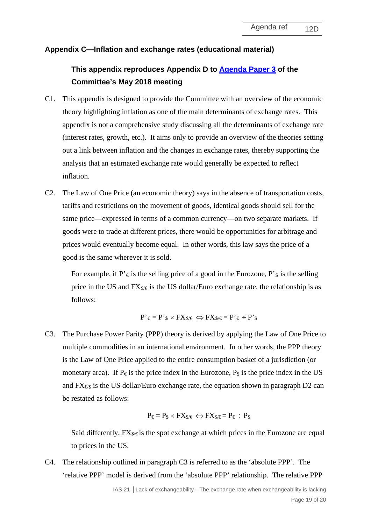### **Appendix C—Inflation and exchange rates (educational material)**

# **This appendix reproduces Appendix D to [Agenda Paper 3](https://www.ifrs.org/-/media/feature/meetings/2018/may/ifric/ap03-foreign-exchange-restrictions.pdf) of the Committee's May 2018 meeting**

- C1. This appendix is designed to provide the Committee with an overview of the economic theory highlighting inflation as one of the main determinants of exchange rates. This appendix is not a comprehensive study discussing all the determinants of exchange rate (interest rates, growth, etc.). It aims only to provide an overview of the theories setting out a link between inflation and the changes in exchange rates, thereby supporting the analysis that an estimated exchange rate would generally be expected to reflect inflation.
- C2. The Law of One Price (an economic theory) says in the absence of transportation costs, tariffs and restrictions on the movement of goods, identical goods should sell for the same price—expressed in terms of a common currency—on two separate markets. If goods were to trade at different prices, there would be opportunities for arbitrage and prices would eventually become equal. In other words, this law says the price of a good is the same wherever it is sold.

For example, if  $P' \in \mathcal{F}$  is the selling price of a good in the Eurozone,  $P'$ <sup>s</sup> is the selling price in the US and  $FX_{\&\&}$  is the US dollar/Euro exchange rate, the relationship is as follows:

$$
P^{\star} \in P^{\star} \mathop{\$} \times FX_{\mathop{\$}/\mathop{\epsilon}$} \Longleftrightarrow FX_{\mathop{\$}/\mathop{\epsilon}$} = P^{\star} \mathop{\epsilon} \div P^{\star} \mathop{\$}
$$

C3. The Purchase Power Parity (PPP) theory is derived by applying the Law of One Price to multiple commodities in an international environment. In other words, the PPP theory is the Law of One Price applied to the entire consumption basket of a jurisdiction (or monetary area). If P $\epsilon$  is the price index in the Eurozone, P<sub>s</sub> is the price index in the US and  $FX_{\epsilon s}$  is the US dollar/Euro exchange rate, the equation shown in paragraph D2 can be restated as follows:

$$
P_{\varepsilon} = P_{\$} \times FX_{\$/\in} \Longleftrightarrow FX_{\$/\in} = P_{\varepsilon} \div P_{\$}
$$

Said differently,  $FX_{\&\&\&}$  is the spot exchange at which prices in the Eurozone are equal to prices in the US.

C4. The relationship outlined in paragraph C3 is referred to as the 'absolute PPP'. The 'relative PPP' model is derived from the 'absolute PPP' relationship. The relative PPP